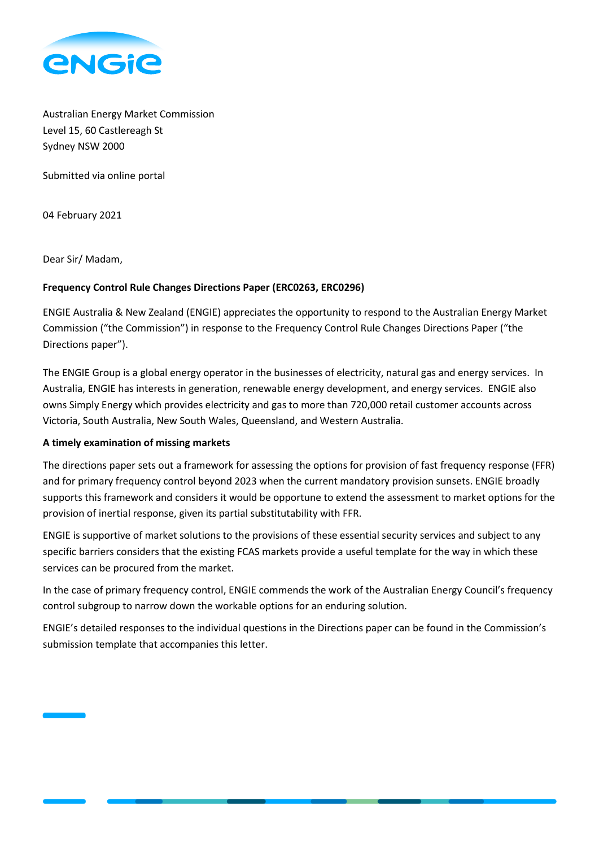

Australian Energy Market Commission Level 15, 60 Castlereagh St Sydney NSW 2000

Submitted via online portal

04 February 2021

Dear Sir/ Madam,

# **Frequency Control Rule Changes Directions Paper (ERC0263, ERC0296)**

ENGIE Australia & New Zealand (ENGIE) appreciates the opportunity to respond to the Australian Energy Market Commission ("the Commission") in response to the Frequency Control Rule Changes Directions Paper ("the Directions paper").

The ENGIE Group is a global energy operator in the businesses of electricity, natural gas and energy services. In Australia, ENGIE has interests in generation, renewable energy development, and energy services. ENGIE also owns Simply Energy which provides electricity and gas to more than 720,000 retail customer accounts across Victoria, South Australia, New South Wales, Queensland, and Western Australia.

# **A timely examination of missing markets**

The directions paper sets out a framework for assessing the options for provision of fast frequency response (FFR) and for primary frequency control beyond 2023 when the current mandatory provision sunsets. ENGIE broadly supports this framework and considers it would be opportune to extend the assessment to market options for the provision of inertial response, given its partial substitutability with FFR.

ENGIE is supportive of market solutions to the provisions of these essential security services and subject to any specific barriers considers that the existing FCAS markets provide a useful template for the way in which these services can be procured from the market.

In the case of primary frequency control, ENGIE commends the work of the Australian Energy Council's frequency control subgroup to narrow down the workable options for an enduring solution.

ENGIE's detailed responses to the individual questions in the Directions paper can be found in the Commission's submission template that accompanies this letter.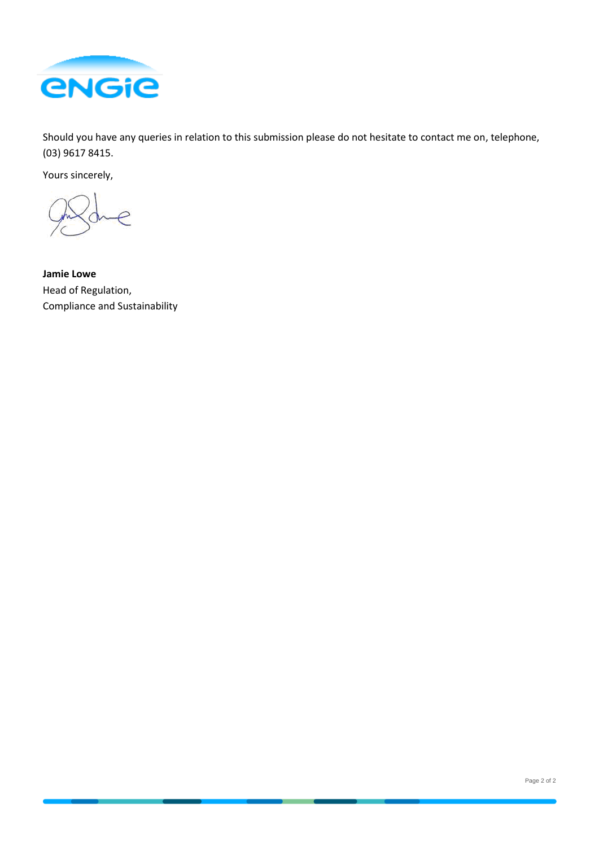

Should you have any queries in relation to this submission please do not hesitate to contact me on, telephone, (03) 9617 8415.

Yours sincerely,

P

**Jamie Lowe**  Head of Regulation, Compliance and Sustainability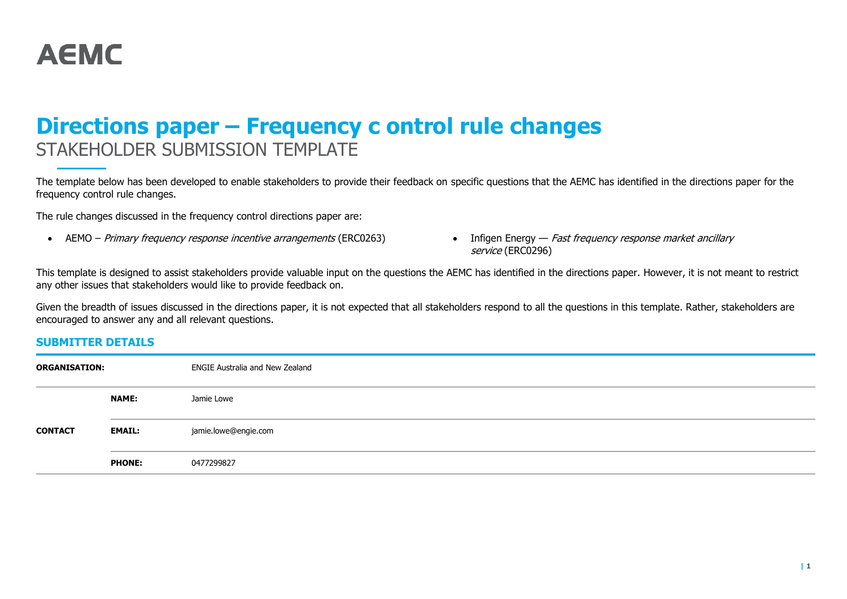

# **Directions paper – Frequency c ontrol rule changes** STAKEHOLDER SUBMISSION TEMPLATE

The template below has been developed to enable stakeholders to provide their feedback on specific questions that the AEMC has identified in the directions paper for the frequency control rule changes.

The rule changes discussed in the frequency control directions paper are:

- AEMO Primary frequency response incentive arrangements (ERC0263) Infigen Energy Fast frequency response market ancillary
- service (ERC0296)

This template is designed to assist stakeholders provide valuable input on the questions the AEMC has identified in the directions paper. However, it is not meant to restrict any other issues that stakeholders would like to provide feedback on.

Given the breadth of issues discussed in the directions paper, it is not expected that all stakeholders respond to all the questions in this template. Rather, stakeholders are encouraged to answer any and all relevant questions.

# **SUBMITTER DETAILS**

| <b>ORGANISATION:</b> |               | ENGIE Australia and New Zealand |
|----------------------|---------------|---------------------------------|
|                      | <b>NAME:</b>  | Jamie Lowe                      |
| <b>CONTACT</b>       | <b>EMAIL:</b> | jamie.lowe@engie.com            |
|                      | <b>PHONE:</b> | 0477299827                      |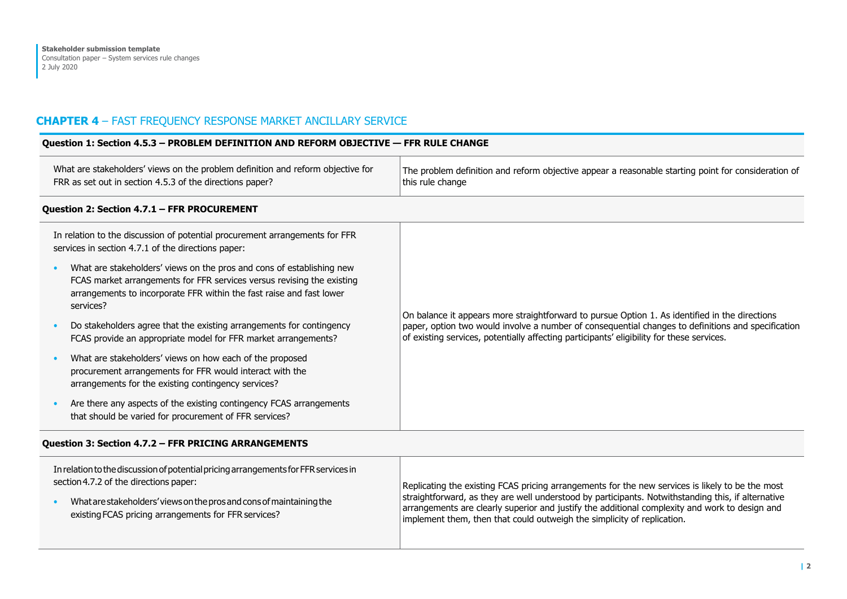# **CHAPTER 4** – FAST FREQUENCY RESPONSE MARKET ANCILLARY SERVICE

| Question 1: Section 4.5.3 - PROBLEM DEFINITION AND REFORM OBJECTIVE - FFR RULE CHANGE                                                                                                                                                |                                                                                                                                                                                                                                                                                                   |
|--------------------------------------------------------------------------------------------------------------------------------------------------------------------------------------------------------------------------------------|---------------------------------------------------------------------------------------------------------------------------------------------------------------------------------------------------------------------------------------------------------------------------------------------------|
| What are stakeholders' views on the problem definition and reform objective for<br>FRR as set out in section 4.5.3 of the directions paper?                                                                                          | The problem definition and reform objective appear a reasonable starting point for consideration of<br>this rule change                                                                                                                                                                           |
| Question 2: Section 4.7.1 - FFR PROCUREMENT                                                                                                                                                                                          |                                                                                                                                                                                                                                                                                                   |
| In relation to the discussion of potential procurement arrangements for FFR<br>services in section 4.7.1 of the directions paper:                                                                                                    |                                                                                                                                                                                                                                                                                                   |
| What are stakeholders' views on the pros and cons of establishing new<br>FCAS market arrangements for FFR services versus revising the existing<br>arrangements to incorporate FFR within the fast raise and fast lower<br>services? | On balance it appears more straightforward to pursue Option 1. As identified in the directions<br>paper, option two would involve a number of consequential changes to definitions and specification<br>of existing services, potentially affecting participants' eligibility for these services. |
| Do stakeholders agree that the existing arrangements for contingency<br>FCAS provide an appropriate model for FFR market arrangements?                                                                                               |                                                                                                                                                                                                                                                                                                   |
| What are stakeholders' views on how each of the proposed<br>procurement arrangements for FFR would interact with the<br>arrangements for the existing contingency services?                                                          |                                                                                                                                                                                                                                                                                                   |
| Are there any aspects of the existing contingency FCAS arrangements<br>that should be varied for procurement of FFR services?                                                                                                        |                                                                                                                                                                                                                                                                                                   |

# **Question 3: Section 4.7.2 – FFR PRICING ARRANGEMENTS**

| In relation to the discussion of potential pricing arrangements for FFR services in | Replicating the existing FCAS pricing arrangements for the new services is likely to be the most   |
|-------------------------------------------------------------------------------------|----------------------------------------------------------------------------------------------------|
| section 4.7.2 of the directions paper:                                              | straightforward, as they are well understood by participants. Notwithstanding this, if alternative |
| What are stakeholders' views on the pros and cons of maintaining the                | arrangements are clearly superior and justify the additional complexity and work to design and     |
| existing FCAS pricing arrangements for FFR services?                                | implement them, then that could outweigh the simplicity of replication.                            |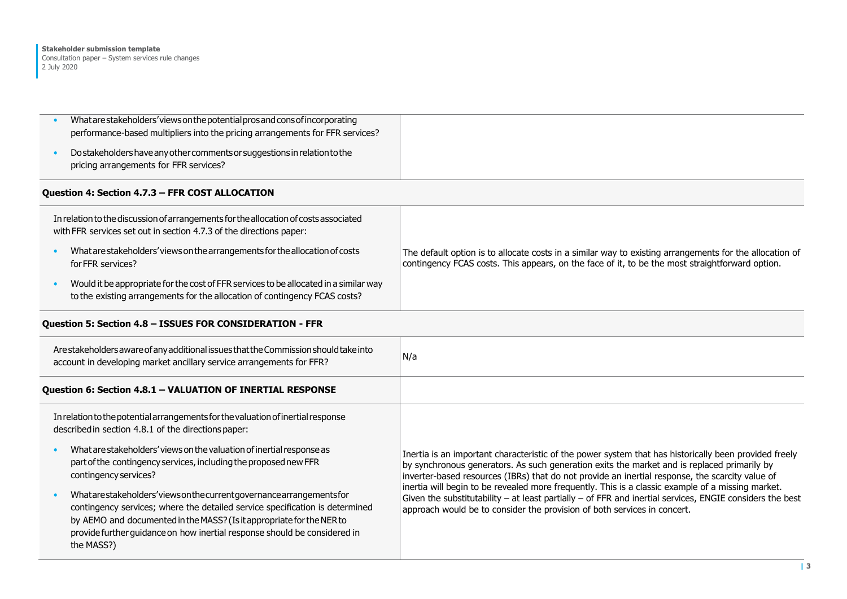| What are stakeholders' views on the potential pros and consof incorporating<br>performance-based multipliers into the pricing arrangements for FFR services?                                                                                                                                         |                                                                                                                                                                                                                                                                                                         |
|------------------------------------------------------------------------------------------------------------------------------------------------------------------------------------------------------------------------------------------------------------------------------------------------------|---------------------------------------------------------------------------------------------------------------------------------------------------------------------------------------------------------------------------------------------------------------------------------------------------------|
| Do stakeholders have any other comments or suggestions in relation to the<br>pricing arrangements for FFR services?                                                                                                                                                                                  |                                                                                                                                                                                                                                                                                                         |
| Question 4: Section 4.7.3 - FFR COST ALLOCATION                                                                                                                                                                                                                                                      |                                                                                                                                                                                                                                                                                                         |
| In relation to the discussion of arrangements for the allocation of costs associated<br>with FFR services set out in section 4.7.3 of the directions paper:                                                                                                                                          |                                                                                                                                                                                                                                                                                                         |
| What are stakeholders' views on the arrangements for the allocation of costs<br>for FFR services?                                                                                                                                                                                                    | The default option is to allocate costs in a similar way to existing arrangements for the allocation of<br>contingency FCAS costs. This appears, on the face of it, to be the most straightforward option.                                                                                              |
| Would it be appropriate for the cost of FFR services to be allocated in a similar way<br>to the existing arrangements for the allocation of contingency FCAS costs?                                                                                                                                  |                                                                                                                                                                                                                                                                                                         |
| Question 5: Section 4.8 - ISSUES FOR CONSIDERATION - FFR                                                                                                                                                                                                                                             |                                                                                                                                                                                                                                                                                                         |
| Are stakeholders aware of any additional issues that the Commission should take into<br>account in developing market ancillary service arrangements for FFR?                                                                                                                                         | N/a                                                                                                                                                                                                                                                                                                     |
| Question 6: Section 4.8.1 - VALUATION OF INERTIAL RESPONSE                                                                                                                                                                                                                                           |                                                                                                                                                                                                                                                                                                         |
| In relation to the potential arrangements for the valuation of inertial response<br>described in section 4.8.1 of the directions paper:                                                                                                                                                              |                                                                                                                                                                                                                                                                                                         |
| What are stakeholders' views on the valuation of inertial response as<br>part of the contingency services, including the proposed new FFR<br>contingency services?                                                                                                                                   | Inertia is an important characteristic of the power system that has historically been provided freely<br>by synchronous generators. As such generation exits the market and is replaced primarily by<br>inverter-based resources (IBRs) that do not provide an inertial response, the scarcity value of |
| Whatarestakeholders'viewsonthecurrentgovernancearrangementsfor<br>contingency services; where the detailed service specification is determined<br>by AEMO and documented in the MASS? (Is it appropriate for the NER to<br>provide further quidance on how inertial response should be considered in | inertia will begin to be revealed more frequently. This is a classic example of a missing market.<br>Given the substitutability $-$ at least partially $-$ of FFR and inertial services, ENGIE considers the best<br>approach would be to consider the provision of both services in concert.           |
| the MASS?)                                                                                                                                                                                                                                                                                           |                                                                                                                                                                                                                                                                                                         |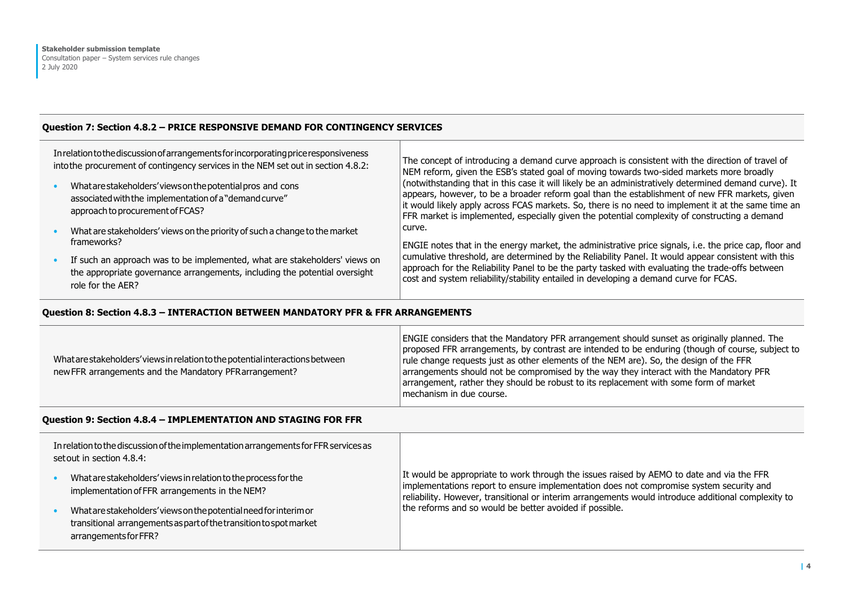# **Question 7: Section 4.8.2 – PRICE RESPONSIVE DEMAND FOR CONTINGENCY SERVICES**

| In relation to the discussion of arrangements for incorporating price responsiveness<br>into the procurement of contingency services in the NEM set out in section 4.8.2:<br>What are stakeholders' views on the potential pros and cons<br>associated with the implementation of a "demand curve"<br>approach to procurement of FCAS? | The concept of introducing a demand curve approach is consistent with the direction of travel of<br>NEM reform, given the ESB's stated goal of moving towards two-sided markets more broadly<br>(notwithstanding that in this case it will likely be an administratively determined demand curve). It<br>appears, however, to be a broader reform goal than the establishment of new FFR markets, given<br>it would likely apply across FCAS markets. So, there is no need to implement it at the same time an<br>FFR market is implemented, especially given the potential complexity of constructing a demand |
|----------------------------------------------------------------------------------------------------------------------------------------------------------------------------------------------------------------------------------------------------------------------------------------------------------------------------------------|-----------------------------------------------------------------------------------------------------------------------------------------------------------------------------------------------------------------------------------------------------------------------------------------------------------------------------------------------------------------------------------------------------------------------------------------------------------------------------------------------------------------------------------------------------------------------------------------------------------------|
| What are stakeholders' views on the priority of such a change to the market                                                                                                                                                                                                                                                            | curve.                                                                                                                                                                                                                                                                                                                                                                                                                                                                                                                                                                                                          |
| frameworks?                                                                                                                                                                                                                                                                                                                            | ENGIE notes that in the energy market, the administrative price signals, i.e. the price cap, floor and                                                                                                                                                                                                                                                                                                                                                                                                                                                                                                          |
| If such an approach was to be implemented, what are stakeholders' views on                                                                                                                                                                                                                                                             | cumulative threshold, are determined by the Reliability Panel. It would appear consistent with this                                                                                                                                                                                                                                                                                                                                                                                                                                                                                                             |
| the appropriate governance arrangements, including the potential oversight                                                                                                                                                                                                                                                             | approach for the Reliability Panel to be the party tasked with evaluating the trade-offs between                                                                                                                                                                                                                                                                                                                                                                                                                                                                                                                |
| role for the AER?                                                                                                                                                                                                                                                                                                                      | cost and system reliability/stability entailed in developing a demand curve for FCAS.                                                                                                                                                                                                                                                                                                                                                                                                                                                                                                                           |

## **Question 8: Section 4.8.3 – INTERACTION BETWEEN MANDATORY PFR & FFR ARRANGEMENTS**

| What are stakeholders' views in relation to the potential interactions between<br>new FFR arrangements and the Mandatory PFR arrangement? | <b>ENGIE considers that the Mandatory PFR arrangement should sunset as originally planned. The</b><br>proposed FFR arrangements, by contrast are intended to be enduring (though of course, subject to<br>rule change requests just as other elements of the NEM are). So, the design of the FFR<br>arrangements should not be compromised by the way they interact with the Mandatory PFR<br>arrangement, rather they should be robust to its replacement with some form of market<br>mechanism in due course. |
|-------------------------------------------------------------------------------------------------------------------------------------------|-----------------------------------------------------------------------------------------------------------------------------------------------------------------------------------------------------------------------------------------------------------------------------------------------------------------------------------------------------------------------------------------------------------------------------------------------------------------------------------------------------------------|
|-------------------------------------------------------------------------------------------------------------------------------------------|-----------------------------------------------------------------------------------------------------------------------------------------------------------------------------------------------------------------------------------------------------------------------------------------------------------------------------------------------------------------------------------------------------------------------------------------------------------------------------------------------------------------|

# **Question 9: Section 4.8.4 – IMPLEMENTATION AND STAGING FOR FFR**

| In relation to the discussion of the implementation arrangements for FFR services as<br>set out in section 4.8.4:                                                |                                                                                                                                                                                                                                                                                             |
|------------------------------------------------------------------------------------------------------------------------------------------------------------------|---------------------------------------------------------------------------------------------------------------------------------------------------------------------------------------------------------------------------------------------------------------------------------------------|
| What are stakeholders' views in relation to the process for the<br>implementation of FFR arrangements in the NEM?                                                | It would be appropriate to work through the issues raised by AEMO to date and via the FFR<br>implementations report to ensure implementation does not compromise system security and<br>reliability. However, transitional or interim arrangements would introduce additional complexity to |
| What are stakeholders' views on the potential need for interim or<br>transitional arrangements as part of the transition to spot market<br>arrangements for FFR? | the reforms and so would be better avoided if possible.                                                                                                                                                                                                                                     |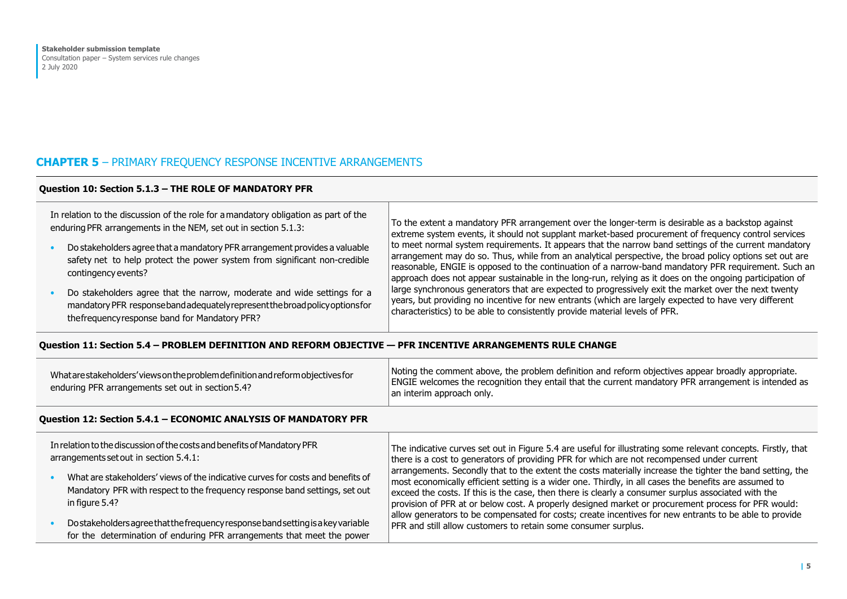# **CHAPTER 5** – PRIMARY FREQUENCY RESPONSE INCENTIVE ARRANGEMENTS

# **Question 10: Section 5.1.3 – THE ROLE OF MANDATORY PFR**

| In relation to the discussion of the role for a mandatory obligation as part of the<br>enduring PFR arrangements in the NEM, set out in section 5.1.3:<br>Do stakeholders agree that a mandatory PFR arrangement provides a valuable<br>safety net to help protect the power system from significant non-credible<br>contingency events? | To the extent a mandatory PFR arrangement over the longer-term is desirable as a backstop against<br>extreme system events, it should not supplant market-based procurement of frequency control services<br>to meet normal system requirements. It appears that the narrow band settings of the current mandatory<br>arrangement may do so. Thus, while from an analytical perspective, the broad policy options set out are<br>reasonable, ENGIE is opposed to the continuation of a narrow-band mandatory PFR requirement. Such an<br>approach does not appear sustainable in the long-run, relying as it does on the ongoing participation of<br>arge synchronous generators that are expected to progressively exit the market over the next twenty<br>years, but providing no incentive for new entrants (which are largely expected to have very different<br>characteristics) to be able to consistently provide material levels of PFR. |
|------------------------------------------------------------------------------------------------------------------------------------------------------------------------------------------------------------------------------------------------------------------------------------------------------------------------------------------|--------------------------------------------------------------------------------------------------------------------------------------------------------------------------------------------------------------------------------------------------------------------------------------------------------------------------------------------------------------------------------------------------------------------------------------------------------------------------------------------------------------------------------------------------------------------------------------------------------------------------------------------------------------------------------------------------------------------------------------------------------------------------------------------------------------------------------------------------------------------------------------------------------------------------------------------------|
| Do stakeholders agree that the narrow, moderate and wide settings for a<br>mandatory PFR response band adequately represent the broad policy options for<br>the frequency response band for Mandatory PFR?                                                                                                                               |                                                                                                                                                                                                                                                                                                                                                                                                                                                                                                                                                                                                                                                                                                                                                                                                                                                                                                                                                  |

## **Question 11: Section 5.4 – PROBLEM DEFINITION AND REFORM OBJECTIVE — PFR INCENTIVE ARRANGEMENTS RULE CHANGE**

| What are stakeholders' views on the problem definition and reform objectives for<br>enduring PFR arrangements set out in section 5.4? | Noting the comment above, the problem definition and reform objectives appear broadly appropriate.<br><b>ENGIE</b> welcomes the recognition they entail that the current mandatory PFR arrangement is intended as<br>an interim approach only. |
|---------------------------------------------------------------------------------------------------------------------------------------|------------------------------------------------------------------------------------------------------------------------------------------------------------------------------------------------------------------------------------------------|
|---------------------------------------------------------------------------------------------------------------------------------------|------------------------------------------------------------------------------------------------------------------------------------------------------------------------------------------------------------------------------------------------|

# **Question 12: Section 5.4.1 – ECONOMIC ANALYSIS OF MANDATORY PFR**

| In relation to the discussion of the costs and benefits of Mandatory PFR                                                                                                         | The indicative curves set out in Figure 5.4 are useful for illustrating some relevant concepts. Firstly, that                                                                                                                                                                                                                                                                                                                    |
|----------------------------------------------------------------------------------------------------------------------------------------------------------------------------------|----------------------------------------------------------------------------------------------------------------------------------------------------------------------------------------------------------------------------------------------------------------------------------------------------------------------------------------------------------------------------------------------------------------------------------|
| arrangements set out in section 5.4.1:                                                                                                                                           | there is a cost to generators of providing PFR for which are not recompensed under current                                                                                                                                                                                                                                                                                                                                       |
| What are stakeholders' views of the indicative curves for costs and benefits of<br>Mandatory PFR with respect to the frequency response band settings, set out<br>in figure 5.4? | arrangements. Secondly that to the extent the costs materially increase the tighter the band setting, the<br>most economically efficient setting is a wider one. Thirdly, in all cases the benefits are assumed to<br>exceed the costs. If this is the case, then there is clearly a consumer surplus associated with the<br>provision of PFR at or below cost. A properly designed market or procurement process for PFR would: |
| Do stakeholders agree that the frequency response band setting is a key variable                                                                                                 | allow generators to be compensated for costs; create incentives for new entrants to be able to provide                                                                                                                                                                                                                                                                                                                           |
| for the determination of enduring PFR arrangements that meet the power                                                                                                           | PFR and still allow customers to retain some consumer surplus.                                                                                                                                                                                                                                                                                                                                                                   |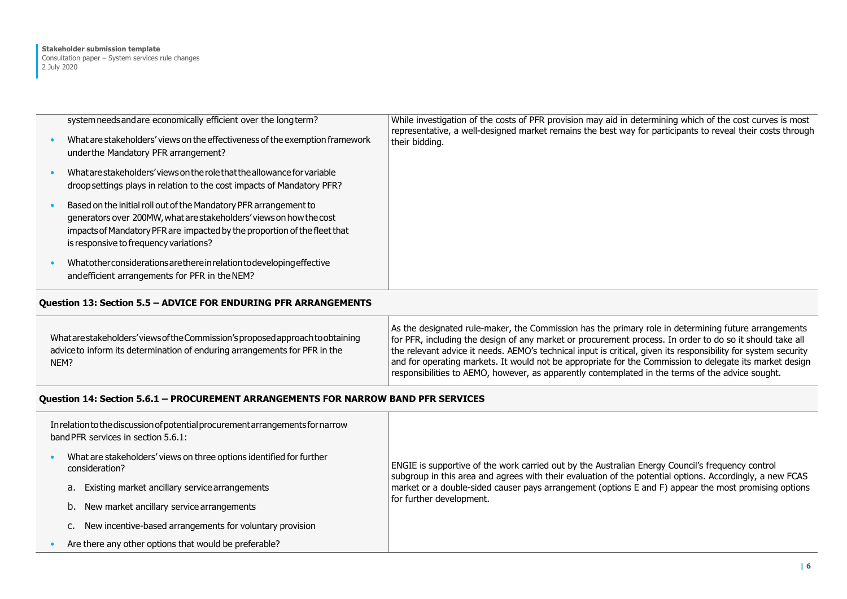| system needs and are economically efficient over the long term?<br>What are stakeholders' views on the effectiveness of the exemption framework<br>under the Mandatory PFR arrangement?                                                                         | While investigation of the costs of PFR provision may aid in determining which of the cost curves is most<br>representative, a well-designed market remains the best way for participants to reveal their costs through<br>their bidding. |
|-----------------------------------------------------------------------------------------------------------------------------------------------------------------------------------------------------------------------------------------------------------------|-------------------------------------------------------------------------------------------------------------------------------------------------------------------------------------------------------------------------------------------|
| What are stakeholders' views on the role that the allowance for variable<br>droop settings plays in relation to the cost impacts of Mandatory PFR?                                                                                                              |                                                                                                                                                                                                                                           |
| Based on the initial roll out of the Mandatory PFR arrangement to<br>generators over 200MW, what are stakeholders' views on how the cost<br>impacts of Mandatory PFR are impacted by the proportion of the fleet that<br>is responsive to frequency variations? |                                                                                                                                                                                                                                           |
| What other considerations are there in relation to developing effective<br>and efficient arrangements for PFR in the NEM?                                                                                                                                       |                                                                                                                                                                                                                                           |

# **Question 13: Section 5.5 – ADVICE FOR ENDURING PFR ARRANGEMENTS**

| What are stakeholders' views of the Commission's proposed approach to obtaining<br>advice to inform its determination of enduring arrangements for PFR in the<br>NEM? | As the designated rule-maker, the Commission has the primary role in determining future arrangements<br>for PFR, including the design of any market or procurement process. In order to do so it should take all<br>the relevant advice it needs. AEMO's technical input is critical, given its responsibility for system security<br>and for operating markets. It would not be appropriate for the Commission to delegate its market design<br>responsibilities to AEMO, however, as apparently contemplated in the terms of the advice sought. |
|-----------------------------------------------------------------------------------------------------------------------------------------------------------------------|---------------------------------------------------------------------------------------------------------------------------------------------------------------------------------------------------------------------------------------------------------------------------------------------------------------------------------------------------------------------------------------------------------------------------------------------------------------------------------------------------------------------------------------------------|
|-----------------------------------------------------------------------------------------------------------------------------------------------------------------------|---------------------------------------------------------------------------------------------------------------------------------------------------------------------------------------------------------------------------------------------------------------------------------------------------------------------------------------------------------------------------------------------------------------------------------------------------------------------------------------------------------------------------------------------------|

## **Question 14: Section 5.6.1 – PROCUREMENT ARRANGEMENTS FOR NARROW BAND PFR SERVICES**

| In relation to the discussion of potential procurement arrangements for narrow<br>band PFR services in section 5.6.1: |                                                                                        |                                                                                                                                                                                                                                                                                                                                                  |
|-----------------------------------------------------------------------------------------------------------------------|----------------------------------------------------------------------------------------|--------------------------------------------------------------------------------------------------------------------------------------------------------------------------------------------------------------------------------------------------------------------------------------------------------------------------------------------------|
|                                                                                                                       | What are stakeholders' views on three options identified for further<br>consideration? | ENGIE is supportive of the work carried out by the Australian Energy Council's frequency control<br>subgroup in this area and agrees with their evaluation of the potential options. Accordingly, a new FCAS<br>market or a double-sided causer pays arrangement (options E and F) appear the most promising options<br>for further development. |
|                                                                                                                       | a. Existing market ancillary service arrangements                                      |                                                                                                                                                                                                                                                                                                                                                  |
|                                                                                                                       | b. New market ancillary service arrangements                                           |                                                                                                                                                                                                                                                                                                                                                  |
|                                                                                                                       | C. New incentive-based arrangements for voluntary provision                            |                                                                                                                                                                                                                                                                                                                                                  |
|                                                                                                                       | Are there any other options that would be preferable?                                  |                                                                                                                                                                                                                                                                                                                                                  |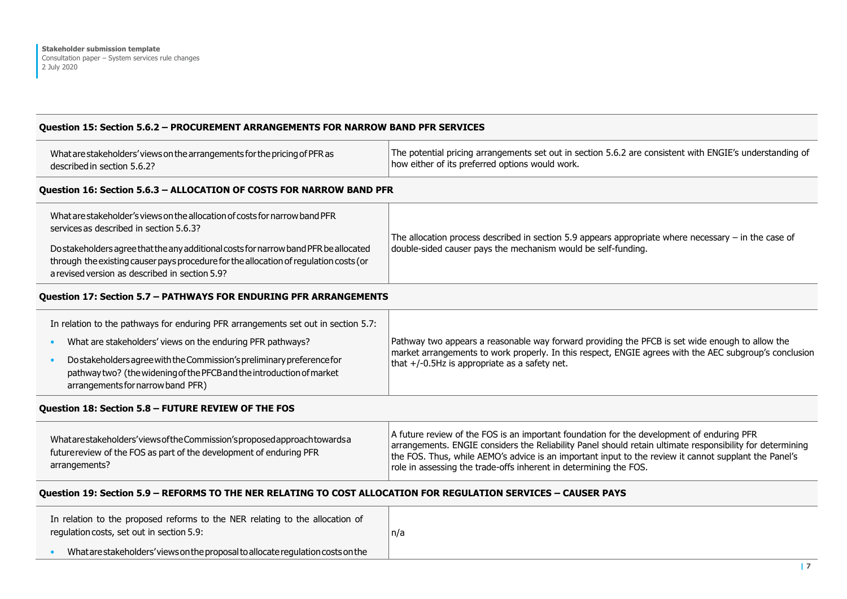# **Question 15: Section 5.6.2 – PROCUREMENT ARRANGEMENTS FOR NARROW BAND PFR SERVICES**

| What are stakeholders' views on the arrangements for the pricing of PFR as | The potential pricing arrangements set out in section 5.6.2 are consistent with ENGIE's understanding of |
|----------------------------------------------------------------------------|----------------------------------------------------------------------------------------------------------|
| described in section 5.6.2?                                                | how either of its preferred options would work.                                                          |

#### **Question 16: Section 5.6.3 – ALLOCATION OF COSTS FOR NARROW BAND PFR**

| What are stakeholder's views on the allocation of costs for narrow band PFR<br>services as described in section 5.6.3? | The allocation process described in section 5.9 appears appropriate where necessary - in the case of |
|------------------------------------------------------------------------------------------------------------------------|------------------------------------------------------------------------------------------------------|
| Do stakeholders agree that the any additional costs for narrow band PFR be allocated                                   | double-sided causer pays the mechanism would be self-funding.                                        |
| through the existing causer pays procedure for the allocation of regulation costs (or                                  |                                                                                                      |
| a revised version as described in section 5.9?                                                                         |                                                                                                      |

#### **Question 17: Section 5.7 – PATHWAYS FOR ENDURING PFR ARRANGEMENTS**

| In relation to the pathways for enduring PFR arrangements set out in section 5.7:                                                                                                    |                                                                                                                                                                                                                                                               |
|--------------------------------------------------------------------------------------------------------------------------------------------------------------------------------------|---------------------------------------------------------------------------------------------------------------------------------------------------------------------------------------------------------------------------------------------------------------|
| What are stakeholders' views on the enduring PFR pathways?                                                                                                                           | Pathway two appears a reasonable way forward providing the PFCB is set wide enough to allow the<br>market arrangements to work properly. In this respect, ENGIE agrees with the AEC subgroup's conclusion<br>that $+/-0.5$ Hz is appropriate as a safety net. |
| Do stakeholders agree with the Commission's preliminary preference for<br>pathway two? (the widening of the PFCB and the introduction of market<br>arrangements for narrow band PFR) |                                                                                                                                                                                                                                                               |

#### **Question 18: Section 5.8 – FUTURE REVIEW OF THE FOS**

| Whatarestakeholders'viewsoftheCommission'sproposedapproachtowardsa<br>future review of the FOS as part of the development of enduring PFR<br>arrangements? | A future review of the FOS is an important foundation for the development of enduring PFR<br>arrangements. ENGIE considers the Reliability Panel should retain ultimate responsibility for determining<br>the FOS. Thus, while AEMO's advice is an important input to the review it cannot supplant the Panel's<br>role in assessing the trade-offs inherent in determining the FOS. |
|------------------------------------------------------------------------------------------------------------------------------------------------------------|--------------------------------------------------------------------------------------------------------------------------------------------------------------------------------------------------------------------------------------------------------------------------------------------------------------------------------------------------------------------------------------|
|------------------------------------------------------------------------------------------------------------------------------------------------------------|--------------------------------------------------------------------------------------------------------------------------------------------------------------------------------------------------------------------------------------------------------------------------------------------------------------------------------------------------------------------------------------|

#### **Question 19: Section 5.9 – REFORMS TO THE NER RELATING TO COST ALLOCATION FOR REGULATION SERVICES – CAUSER PAYS**

| In relation to the proposed reforms to the NER relating to the allocation of<br>regulation costs, set out in section 5.9: | 'n/a |
|---------------------------------------------------------------------------------------------------------------------------|------|
| What are stakeholders' views on the proposal to allocate regulation costs on the                                          |      |